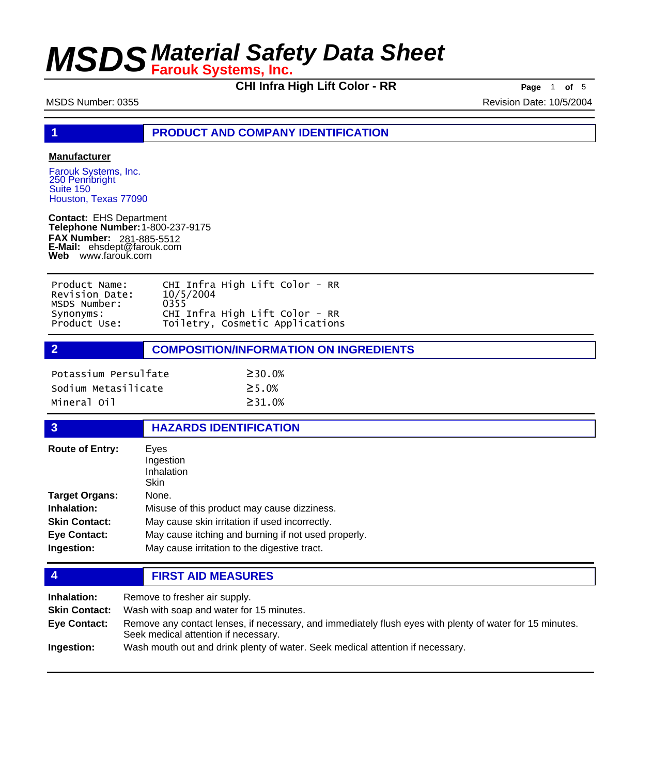**CHI Infra High Lift Color - RR Page** <sup>1</sup> **of** <sup>5</sup>

MSDS Number: 0355 Revision Date: 10/5/2004

**1 PRODUCT AND COMPANY IDENTIFICATION**

## **Manufacturer**

Farouk Systems, Inc. 250 Pennbright Suite 150 Houston, Texas 77090

**Contact:** EHS Department **Telephone Number:** 1-800-237-9175 **FAX Number: FAX Number:** 281-885-5512<br>**E-Mail:** ehsdept@farouk.com **Web** www.farouk.com

| Product Name:  | CHI Infra High Lift Color - RR  |
|----------------|---------------------------------|
| Revision Date: | 10/5/2004                       |
| MSDS Number:   | 0355                            |
| Synonyms:      | CHI Infra High Lift Color - RR  |
| Product Use:   | Toiletry, Cosmetic Applications |

**2 COMPOSITION/INFORMATION ON INGREDIENTS**

| Potassium Persulfate | $\geq$ 30.0%  |
|----------------------|---------------|
| Sodium Metasilicate  | $\geq$ 5 . 0% |
| Mineral Oil          | $\geq$ 31.0%  |

### **3 HAZARDS IDENTIFICATION**

| <b>Route of Entry:</b> | Eves<br>Ingestion<br>Inhalation<br>Skin             |
|------------------------|-----------------------------------------------------|
| <b>Target Organs:</b>  | None.                                               |
| Inhalation:            | Misuse of this product may cause dizziness.         |
| <b>Skin Contact:</b>   | May cause skin irritation if used incorrectly.      |
| <b>Eye Contact:</b>    | May cause itching and burning if not used properly. |
| Ingestion:             | May cause irritation to the digestive tract.        |

**4 FIRST AID MEASURES**

| Inhalation:          | Remove to fresher air supply.                                                                                                                    |
|----------------------|--------------------------------------------------------------------------------------------------------------------------------------------------|
| <b>Skin Contact:</b> | Wash with soap and water for 15 minutes.                                                                                                         |
| Eye Contact:         | Remove any contact lenses, if necessary, and immediately flush eyes with plenty of water for 15 minutes.<br>Seek medical attention if necessary. |
| Ingestion:           | Wash mouth out and drink plenty of water. Seek medical attention if necessary.                                                                   |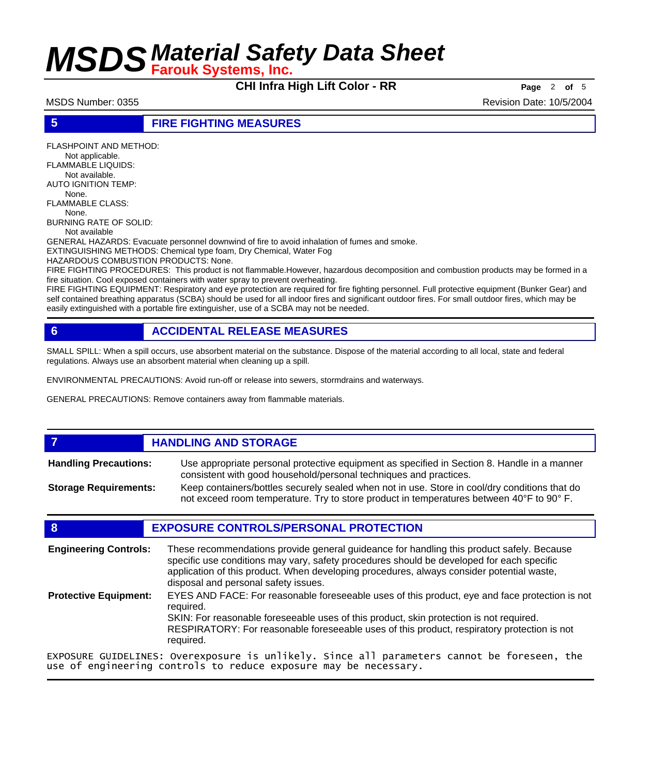**CHI Infra High Lift Color - RR Page** <sup>2</sup> **of** <sup>5</sup>

MSDS Number: 0355 Revision Date: 10/5/2004

## **5 FIRE FIGHTING MEASURES**

FLASHPOINT AND METHOD: Not applicable. FLAMMABLE LIQUIDS: Not available. AUTO IGNITION TEMP: None. FLAMMABLE CLASS: None. BURNING RATE OF SOLID: Not available GENERAL HAZARDS: Evacuate personnel downwind of fire to avoid inhalation of fumes and smoke. EXTINGUISHING METHODS: Chemical type foam, Dry Chemical, Water Fog HAZARDOUS COMBUSTION PRODUCTS: None. FIRE FIGHTING PROCEDURES: This product is not flammable.However, hazardous decomposition and combustion products may be formed in a fire situation. Cool exposed containers with water spray to prevent overheating.

FIRE FIGHTING EQUIPMENT: Respiratory and eye protection are required for fire fighting personnel. Full protective equipment (Bunker Gear) and self contained breathing apparatus (SCBA) should be used for all indoor fires and significant outdoor fires. For small outdoor fires, which may be easily extinguished with a portable fire extinguisher, use of a SCBA may not be needed.

## **6 ACCIDENTAL RELEASE MEASURES**

SMALL SPILL: When a spill occurs, use absorbent material on the substance. Dispose of the material according to all local, state and federal regulations. Always use an absorbent material when cleaning up a spill.

ENVIRONMENTAL PRECAUTIONS: Avoid run-off or release into sewers, stormdrains and waterways.

GENERAL PRECAUTIONS: Remove containers away from flammable materials.

### **7 HANDLING AND STORAGE** Use appropriate personal protective equipment as specified in Section 8. Handle in a manner consistent with good household/personal techniques and practices. **Handling Precautions:** Keep containers/bottles securely sealed when not in use. Store in cool/dry conditions that do not exceed room temperature. Try to store product in temperatures between 40°F to 90° F. **Storage Requirements:**

## **8 EXPOSURE CONTROLS/PERSONAL PROTECTION**

These recommendations provide general guideance for handling this product safely. Because specific use conditions may vary, safety procedures should be developed for each specific application of this product. When developing procedures, always consider potential waste, disposal and personal safety issues. **Engineering Controls:** EYES AND FACE: For reasonable foreseeable uses of this product, eye and face protection is not required. SKIN: For reasonable foreseeable uses of this product, skin protection is not required. RESPIRATORY: For reasonable foreseeable uses of this product, respiratory protection is not required. **Protective Equipment:** EXPOSURE GUIDELINES: Overexposure is unlikely. Since all parameters cannot be foreseen, the use of engineering controls to reduce exposure may be necessary.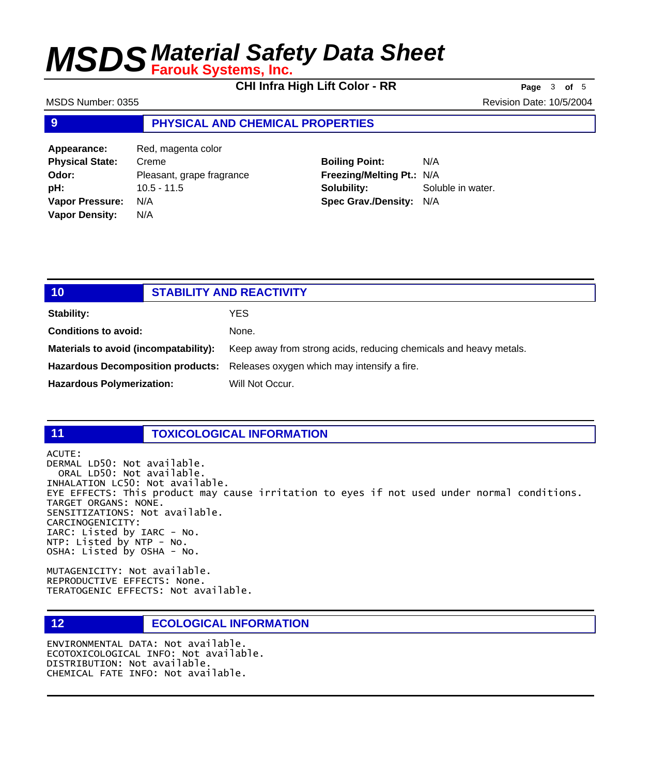**CHI Infra High Lift Color - RR Page** <sup>3</sup> **of** <sup>5</sup>

MSDS Number: 0355 Revision Date: 10/5/2004

## **9 PHYSICAL AND CHEMICAL PROPERTIES**

Appearance: Red, magenta color **Physical State:** Creme **Odor:** Pleasant, grape fragrance **pH:** 10.5 - 11.5 **Vapor Pressure:** N/A **Vapor Density:** N/A

## **Boiling Point:** N/A **Freezing/Melting Pt.:** N/A **Solubility:** Soluble in water. **Spec Grav./Density:** N/A

| 10                                    | <b>STABILITY AND REACTIVITY</b>                                                      |
|---------------------------------------|--------------------------------------------------------------------------------------|
| Stability:                            | YES                                                                                  |
| <b>Conditions to avoid:</b>           | None.                                                                                |
| Materials to avoid (incompatability): | Keep away from strong acids, reducing chemicals and heavy metals.                    |
|                                       | <b>Hazardous Decomposition products:</b> Releases oxygen which may intensify a fire. |
| <b>Hazardous Polymerization:</b>      | Will Not Occur.                                                                      |

## **11 TOXICOLOGICAL INFORMATION**

ACUTE: DERMAL LD50: Not available. ORAL LD50: Not available. INHALATION LC50: Not available. EYE EFFECTS: This product may cause irritation to eyes if not used under normal conditions. TARGET ORGANS: NONE. SENSITIZATIONS: Not available. CARCINOGENICITY: IARC: Listed by IARC - No. NTP: Listed by NTP - No. OSHA: Listed by OSHA - No.

MUTAGENICITY: Not available. REPRODUCTIVE EFFECTS: None. TERATOGENIC EFFECTS: Not available.

## **12 ECOLOGICAL INFORMATION**

ENVIRONMENTAL DATA: Not available. ECOTOXICOLOGICAL INFO: Not available. DISTRIBUTION: Not available. CHEMICAL FATE INFO: Not available.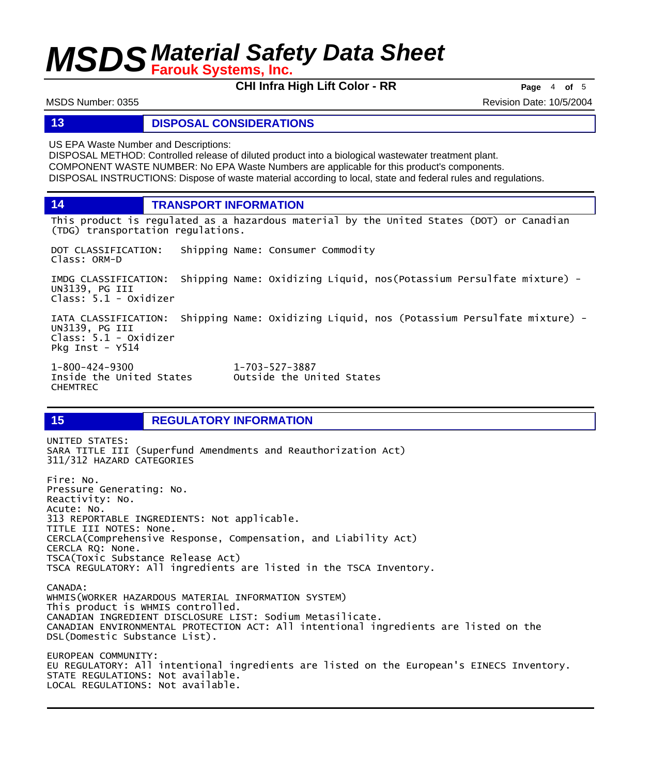**CHI Infra High Lift Color - RR Page** <sup>4</sup> **of** <sup>5</sup>

MSDS Number: 0355 Revision Date: 10/5/2004

## **13 DISPOSAL CONSIDERATIONS**

US EPA Waste Number and Descriptions:

DISPOSAL METHOD: Controlled release of diluted product into a biological wastewater treatment plant. COMPONENT WASTE NUMBER: No EPA Waste Numbers are applicable for this product's components. DISPOSAL INSTRUCTIONS: Dispose of waste material according to local, state and federal rules and regulations.

**14 TRANSPORT INFORMATION**

This product is regulated as a hazardous material by the United States (DOT) or Canadian (TDG) transportation regulations.

DOT CLASSIFICATION: Shipping Name: Consumer Commodity Class: ORM-D

IMDG CLASSIFICATION: Shipping Name: Oxidizing Liquid, nos(Potassium Persulfate mixture) - UN3139, PG III Class: 5.1 - Oxidizer

IATA CLASSIFICATION: Shipping Name: Oxidizing Liquid, nos (Potassium Persulfate mixture) - UN3139, PG III Class: 5.1 - Oxidizer Pkg Inst - Y514

1-800-424-9300 1-703-527-3887 CHEMTREC

Outside the United States

## **15 REGULATORY INFORMATION**

UNITED STATES: SARA TITLE III (Superfund Amendments and Reauthorization Act) 311/312 HAZARD CATEGORIES Fire: No. Pressure Generating: No. Reactivity: No. Acute: No. 313 REPORTABLE INGREDIENTS: Not applicable. TITLE III NOTES: None. CERCLA(Comprehensive Response, Compensation, and Liability Act) CERCLA RQ: None. TSCA(Toxic Substance Release Act) TSCA REGULATORY: All ingredients are listed in the TSCA Inventory. CANADA: WHMIS(WORKER HAZARDOUS MATERIAL INFORMATION SYSTEM) This product is WHMIS controlled. CANADIAN INGREDIENT DISCLOSURE LIST: Sodium Metasilicate. CANADIAN ENVIRONMENTAL PROTECTION ACT: All intentional ingredients are listed on the DSL(Domestic Substance List). EUROPEAN COMMUNITY: EU REGULATORY: All intentional ingredients are listed on the European's EINECS Inventory. STATE REGULATIONS: Not available. LOCAL REGULATIONS: Not available.